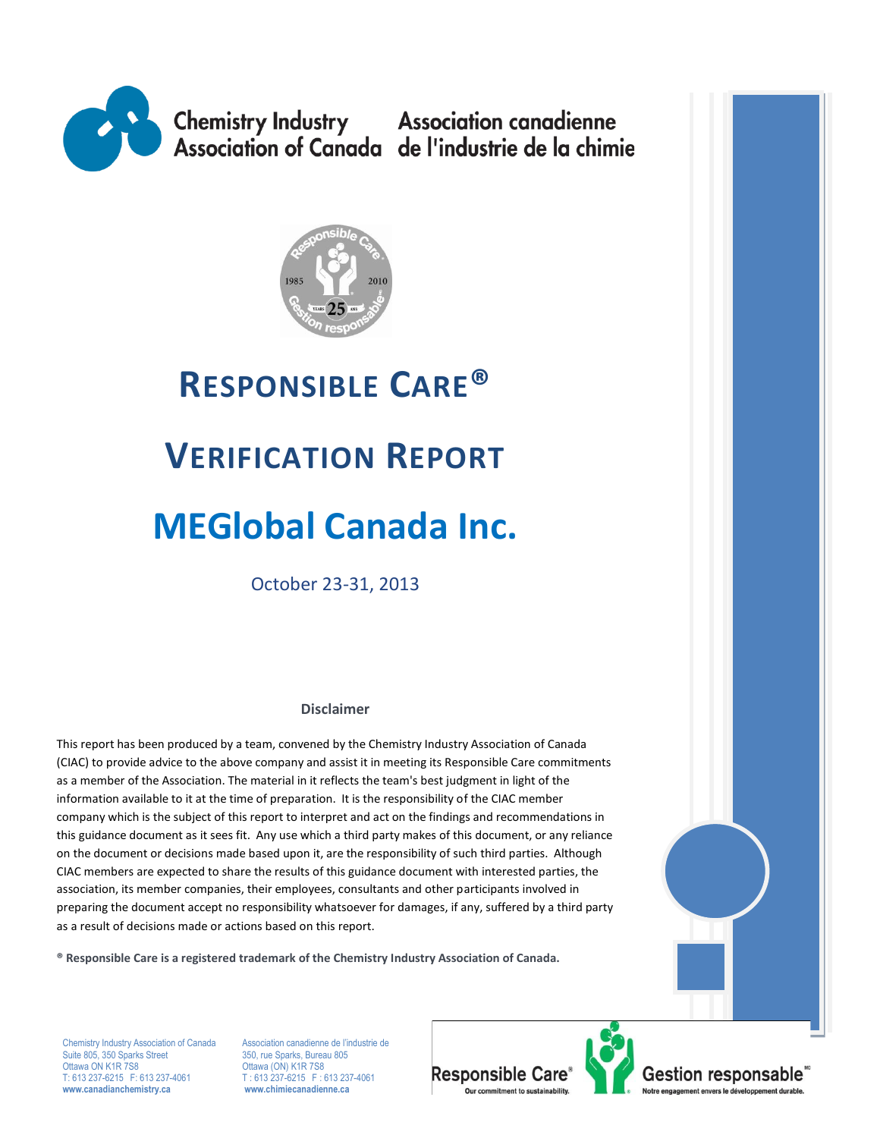



# **RESPONSIBLE CARE® VERIFICATION REPORT MEGlobal Canada Inc.**

October 23-31, 2013

#### **Disclaimer**

This report has been produced by a team, convened by the Chemistry Industry Association of Canada (CIAC) to provide advice to the above company and assist it in meeting its Responsible Care commitments as a member of the Association. The material in it reflects the team's best judgment in light of the information available to it at the time of preparation. It is the responsibility of the CIAC member company which is the subject of this report to interpret and act on the findings and recommendations in this guidance document as it sees fit. Any use which a third party makes of this document, or any reliance on the document or decisions made based upon it, are the responsibility of such third parties. Although CIAC members are expected to share the results of this guidance document with interested parties, the association, its member companies, their employees, consultants and other participants involved in preparing the document accept no responsibility whatsoever for damages, if any, suffered by a third party as a result of decisions made or actions based on this report.

**® Responsible Care is a registered trademark of the Chemistry Industry Association of Canada.** 

Chemistry Industry Association of Canada Association canadienne de l'industrie de<br>
Suite 805, 350 Sparks Street 350, rue Sparks, Bureau 805 Suite 805, 350 Sparks Street<br>Ottawa ON K1R 7S8 Ottawa ON K1R 7S8 CHE 2012 CHE CON) K1R 7S8<br>T: 613 237-6215 F: 613 237-4061 T: 613 237-6215 F: 6 **www.canadianchemistry.ca www.chimiecanadienne.ca**

T: 613 237-6215 F: 613 237-4061<br>www.chimiecanadienne.ca

**Responsible Care®** Our commitment to sustainability.

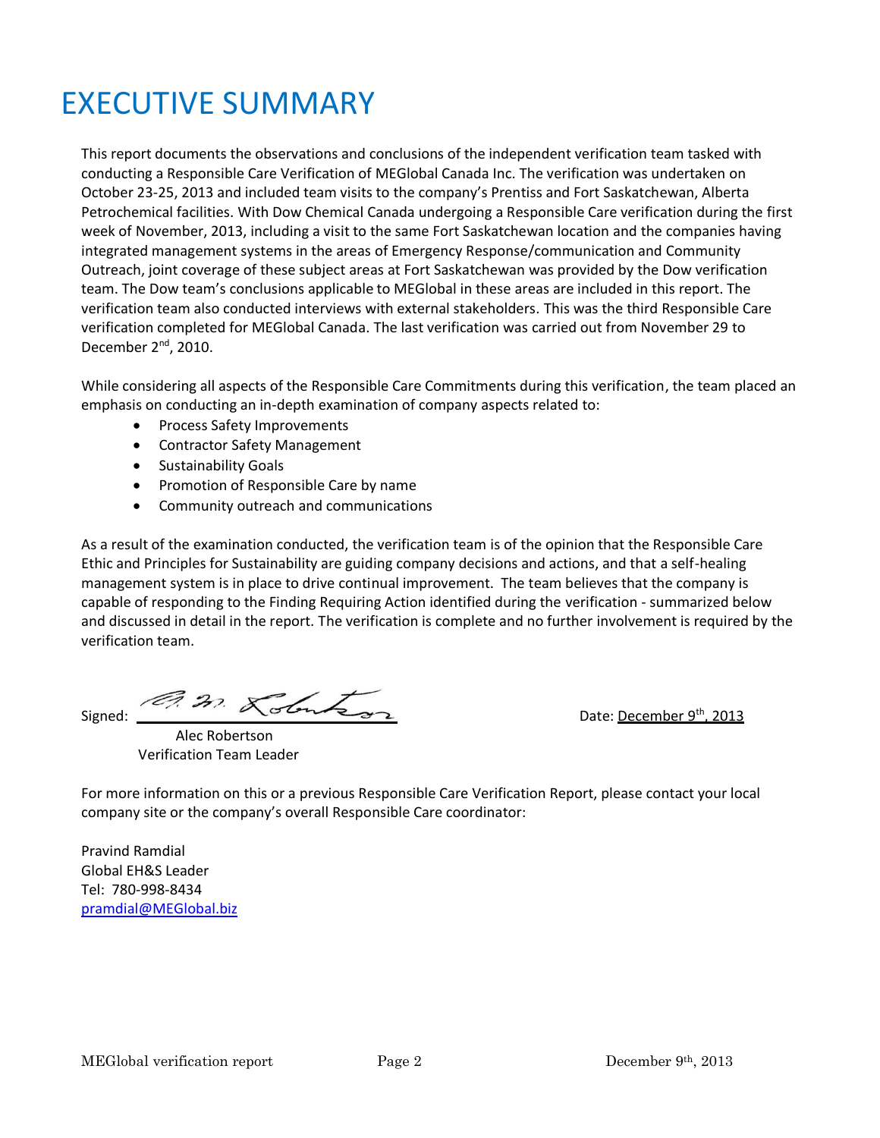## EXECUTIVE SUMMARY

This report documents the observations and conclusions of the independent verification team tasked with conducting a Responsible Care Verification of MEGlobal Canada Inc. The verification was undertaken on October 23-25, 2013 and included team visits to the company's Prentiss and Fort Saskatchewan, Alberta Petrochemical facilities. With Dow Chemical Canada undergoing a Responsible Care verification during the first week of November, 2013, including a visit to the same Fort Saskatchewan location and the companies having integrated management systems in the areas of Emergency Response/communication and Community Outreach, joint coverage of these subject areas at Fort Saskatchewan was provided by the Dow verification team. The Dow team's conclusions applicable to MEGlobal in these areas are included in this report. The verification team also conducted interviews with external stakeholders. This was the third Responsible Care verification completed for MEGlobal Canada. The last verification was carried out from November 29 to December 2<sup>nd</sup>, 2010.

While considering all aspects of the Responsible Care Commitments during this verification, the team placed an emphasis on conducting an in-depth examination of company aspects related to:

- Process Safety Improvements
- Contractor Safety Management
- Sustainability Goals
- Promotion of Responsible Care by name
- Community outreach and communications

As a result of the examination conducted, the verification team is of the opinion that the Responsible Care Ethic and Principles for Sustainability are guiding company decisions and actions, and that a self-healing management system is in place to drive continual improvement. The team believes that the company is capable of responding to the Finding Requiring Action identified during the verification - summarized below and discussed in detail in the report. The verification is complete and no further involvement is required by the verification team.

Signed:  $\overline{37}$   $\overline{37}$   $\overline{\phantom{37}}$   $\overline{\phantom{37}}$  Date: <u>December 9<sup>th</sup>, 2013</u>

 Alec Robertson Verification Team Leader

For more information on this or a previous Responsible Care Verification Report, please contact your local company site or the company's overall Responsible Care coordinator:

Pravind Ramdial Global EH&S Leader Tel: 780-998-8434 [pramdial@MEGlobal.biz](mailto:pramdial@MEGlobal.biz)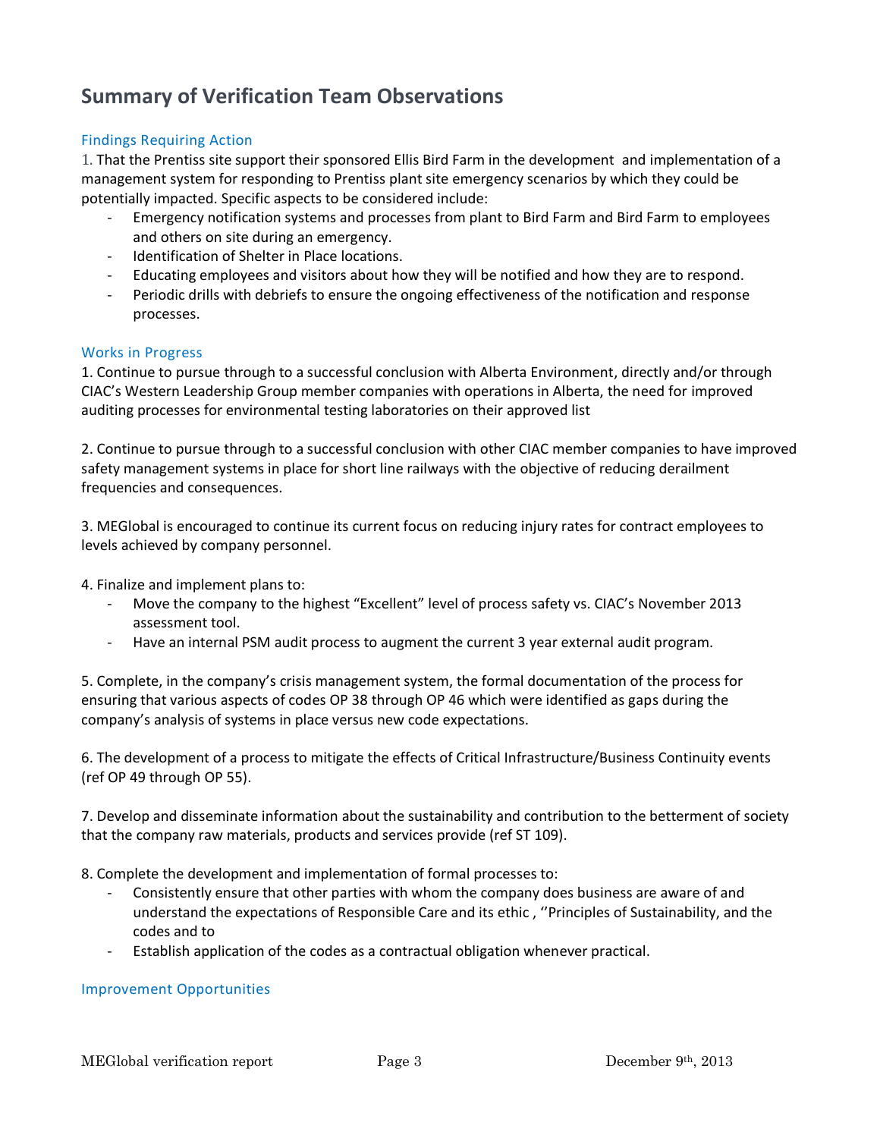## **Summary of Verification Team Observations**

#### Findings Requiring Action

1. That the Prentiss site support their sponsored Ellis Bird Farm in the development and implementation of a management system for responding to Prentiss plant site emergency scenarios by which they could be potentially impacted. Specific aspects to be considered include:

- Emergency notification systems and processes from plant to Bird Farm and Bird Farm to employees and others on site during an emergency.
- Identification of Shelter in Place locations.
- Educating employees and visitors about how they will be notified and how they are to respond.
- Periodic drills with debriefs to ensure the ongoing effectiveness of the notification and response processes.

#### Works in Progress

1. Continue to pursue through to a successful conclusion with Alberta Environment, directly and/or through CIAC's Western Leadership Group member companies with operations in Alberta, the need for improved auditing processes for environmental testing laboratories on their approved list

2. Continue to pursue through to a successful conclusion with other CIAC member companies to have improved safety management systems in place for short line railways with the objective of reducing derailment frequencies and consequences.

3. MEGlobal is encouraged to continue its current focus on reducing injury rates for contract employees to levels achieved by company personnel.

4. Finalize and implement plans to:

- Move the company to the highest "Excellent" level of process safety vs. CIAC's November 2013 assessment tool.
- Have an internal PSM audit process to augment the current 3 year external audit program.

5. Complete, in the company's crisis management system, the formal documentation of the process for ensuring that various aspects of codes OP 38 through OP 46 which were identified as gaps during the company's analysis of systems in place versus new code expectations.

6. The development of a process to mitigate the effects of Critical Infrastructure/Business Continuity events (ref OP 49 through OP 55).

7. Develop and disseminate information about the sustainability and contribution to the betterment of society that the company raw materials, products and services provide (ref ST 109).

8. Complete the development and implementation of formal processes to:

- Consistently ensure that other parties with whom the company does business are aware of and understand the expectations of Responsible Care and its ethic , ''Principles of Sustainability, and the codes and to
- Establish application of the codes as a contractual obligation whenever practical.

#### Improvement Opportunities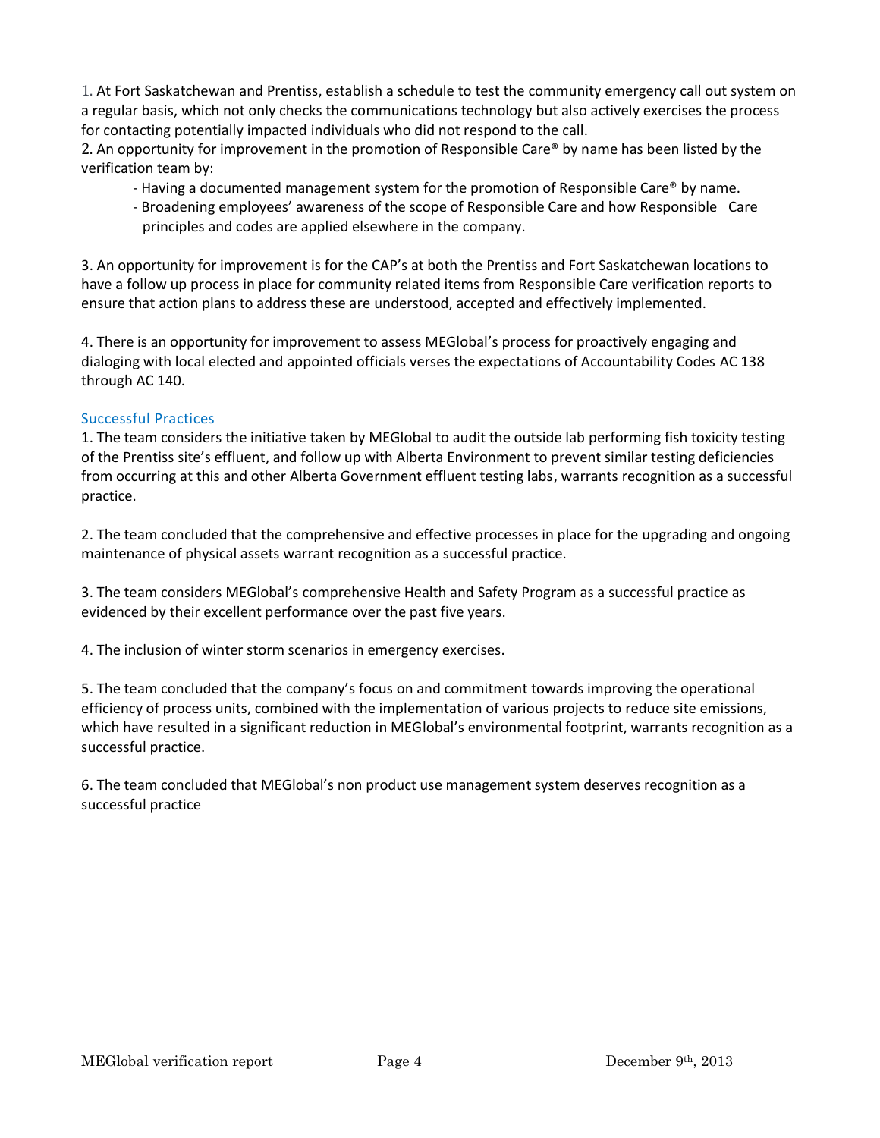1. At Fort Saskatchewan and Prentiss, establish a schedule to test the community emergency call out system on a regular basis, which not only checks the communications technology but also actively exercises the process for contacting potentially impacted individuals who did not respond to the call.

2. An opportunity for improvement in the promotion of Responsible Care® by name has been listed by the verification team by:

- Having a documented management system for the promotion of Responsible Care® by name.
- Broadening employees' awareness of the scope of Responsible Care and how Responsible Care principles and codes are applied elsewhere in the company.

3. An opportunity for improvement is for the CAP's at both the Prentiss and Fort Saskatchewan locations to have a follow up process in place for community related items from Responsible Care verification reports to ensure that action plans to address these are understood, accepted and effectively implemented.

4. There is an opportunity for improvement to assess MEGlobal's process for proactively engaging and dialoging with local elected and appointed officials verses the expectations of Accountability Codes AC 138 through AC 140.

#### Successful Practices

1. The team considers the initiative taken by MEGlobal to audit the outside lab performing fish toxicity testing of the Prentiss site's effluent, and follow up with Alberta Environment to prevent similar testing deficiencies from occurring at this and other Alberta Government effluent testing labs, warrants recognition as a successful practice.

2. The team concluded that the comprehensive and effective processes in place for the upgrading and ongoing maintenance of physical assets warrant recognition as a successful practice.

3. The team considers MEGlobal's comprehensive Health and Safety Program as a successful practice as evidenced by their excellent performance over the past five years.

4. The inclusion of winter storm scenarios in emergency exercises.

5. The team concluded that the company's focus on and commitment towards improving the operational efficiency of process units, combined with the implementation of various projects to reduce site emissions, which have resulted in a significant reduction in MEGlobal's environmental footprint, warrants recognition as a successful practice.

6. The team concluded that MEGlobal's non product use management system deserves recognition as a successful practice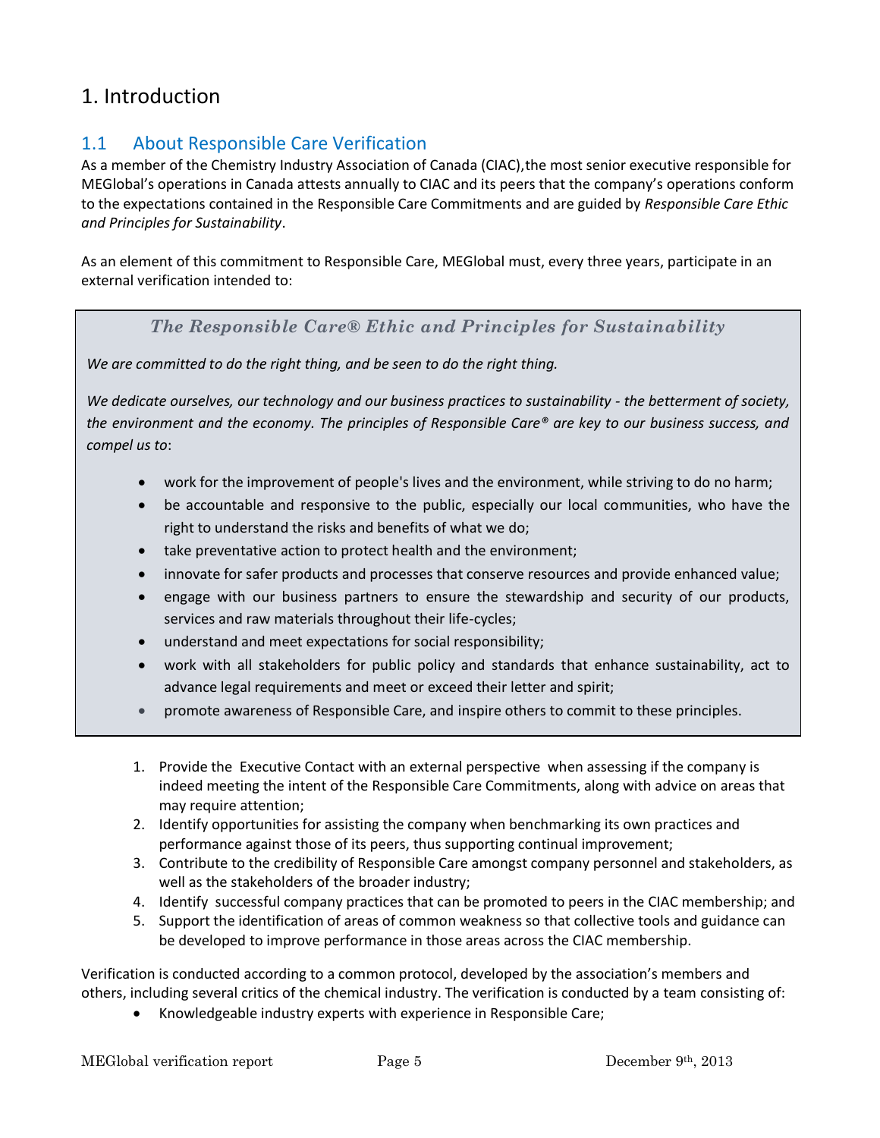## 1. Introduction

## 1.1 About Responsible Care Verification

As a member of the Chemistry Industry Association of Canada (CIAC),the most senior executive responsible for MEGlobal's operations in Canada attests annually to CIAC and its peers that the company's operations conform to the expectations contained in the Responsible Care Commitments and are guided by *Responsible Care Ethic and Principles for Sustainability*.

As an element of this commitment to Responsible Care, MEGlobal must, every three years, participate in an external verification intended to:

#### *The Responsible Care® Ethic and Principles for Sustainability*

*We are committed to do the right thing, and be seen to do the right thing.*

*We dedicate ourselves, our technology and our business practices to sustainability - the betterment of society, the environment and the economy. The principles of Responsible Care® are key to our business success, and compel us to*:

- work for the improvement of people's lives and the environment, while striving to do no harm;
- be accountable and responsive to the public, especially our local communities, who have the right to understand the risks and benefits of what we do;
- take preventative action to protect health and the environment;
- innovate for safer products and processes that conserve resources and provide enhanced value;
- engage with our business partners to ensure the stewardship and security of our products, services and raw materials throughout their life-cycles;
- understand and meet expectations for social responsibility;
- work with all stakeholders for public policy and standards that enhance sustainability, act to advance legal requirements and meet or exceed their letter and spirit;
- promote awareness of Responsible Care, and inspire others to commit to these principles.
- 1. Provide the Executive Contact with an external perspective when assessing if the company is indeed meeting the intent of the Responsible Care Commitments, along with advice on areas that may require attention;
- 2. Identify opportunities for assisting the company when benchmarking its own practices and performance against those of its peers, thus supporting continual improvement;
- 3. Contribute to the credibility of Responsible Care amongst company personnel and stakeholders, as well as the stakeholders of the broader industry;
- 4. Identify successful company practices that can be promoted to peers in the CIAC membership; and
- 5. Support the identification of areas of common weakness so that collective tools and guidance can be developed to improve performance in those areas across the CIAC membership.

Verification is conducted according to a common protocol, developed by the association's members and others, including several critics of the chemical industry. The verification is conducted by a team consisting of:

• Knowledgeable industry experts with experience in Responsible Care;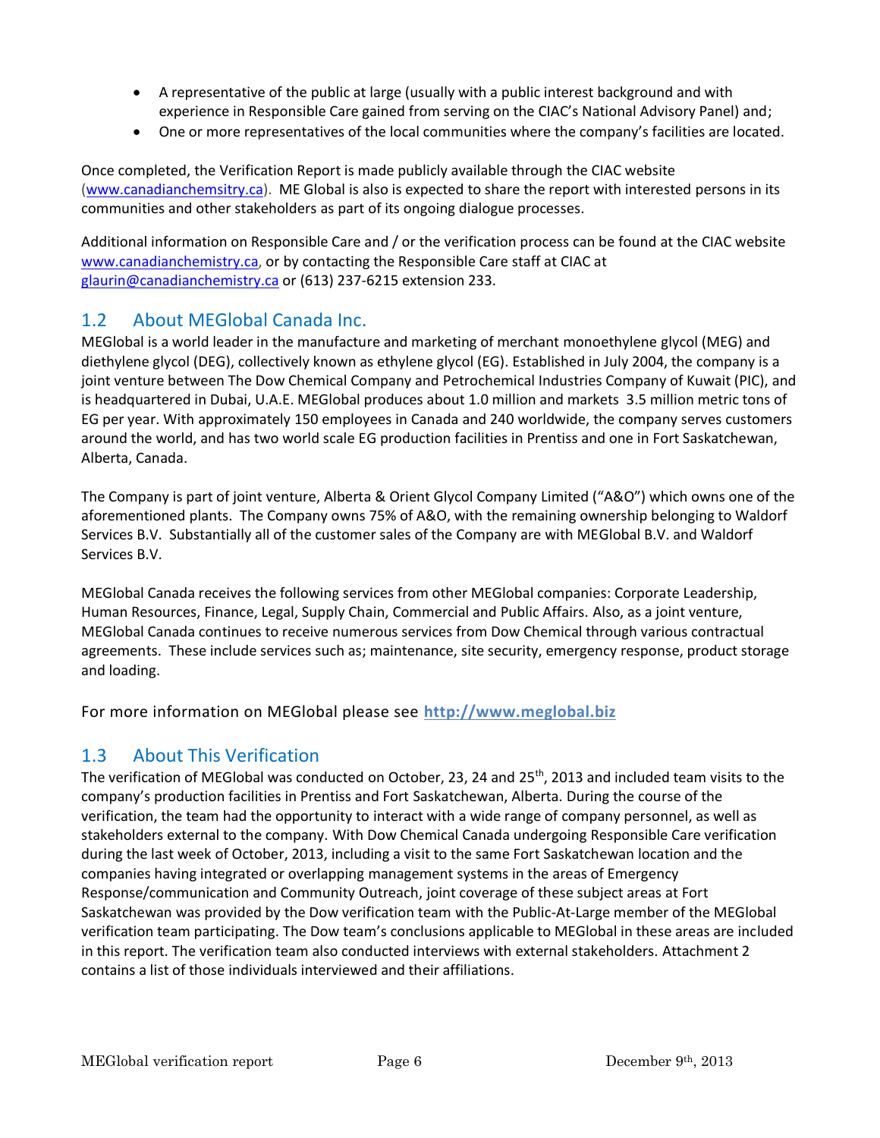- A representative of the public at large (usually with a public interest background and with experience in Responsible Care gained from serving on the CIAC's National Advisory Panel) and;
- One or more representatives of the local communities where the company's facilities are located.

Once completed, the Verification Report is made publicly available through the CIAC website [\(www.canadianchemsitry.ca\)](http://www.canadianchemsitry.ca/). ME Global is also is expected to share the report with interested persons in its communities and other stakeholders as part of its ongoing dialogue processes.

Additional information on Responsible Care and / or the verification process can be found at the CIAC website [www.canadianchemistry.ca,](http://www.canadianchemistry.ca/) or by contacting the Responsible Care staff at CIAC at [glaurin@canadianchemistry.ca](mailto:glaurin@canadianchemistry.ca) or (613) 237-6215 extension 233.

## 1.2 About MEGlobal Canada Inc.

MEGlobal is a world leader in the manufacture and marketing of merchant monoethylene glycol (MEG) and diethylene glycol (DEG), collectively known as ethylene glycol (EG). Established in July 2004, the company is a joint venture between The Dow Chemical Company and Petrochemical Industries Company of Kuwait (PIC), and is headquartered in Dubai, U.A.E. MEGlobal produces about 1.0 million and markets 3.5 million metric tons of EG per year. With approximately 150 employees in Canada and 240 worldwide, the company serves customers around the world, and has two world scale EG production facilities in Prentiss and one in Fort Saskatchewan, Alberta, Canada.

The Company is part of joint venture, Alberta & Orient Glycol Company Limited ("A&O") which owns one of the aforementioned plants. The Company owns 75% of A&O, with the remaining ownership belonging to Waldorf Services B.V. Substantially all of the customer sales of the Company are with MEGlobal B.V. and Waldorf Services B.V.

MEGlobal Canada receives the following services from other MEGlobal companies: Corporate Leadership, Human Resources, Finance, Legal, Supply Chain, Commercial and Public Affairs. Also, as a joint venture, MEGlobal Canada continues to receive numerous services from Dow Chemical through various contractual agreements. These include services such as; maintenance, site security, emergency response, product storage and loading.

For more information on MEGlobal please see **[http://www.m](http://www./)eglobal.biz** 

## 1.3 About This Verification

The verification of MEGlobal was conducted on October, 23, 24 and 25<sup>th</sup>, 2013 and included team visits to the company's production facilities in Prentiss and Fort Saskatchewan, Alberta. During the course of the verification, the team had the opportunity to interact with a wide range of company personnel, as well as stakeholders external to the company. With Dow Chemical Canada undergoing Responsible Care verification during the last week of October, 2013, including a visit to the same Fort Saskatchewan location and the companies having integrated or overlapping management systems in the areas of Emergency Response/communication and Community Outreach, joint coverage of these subject areas at Fort Saskatchewan was provided by the Dow verification team with the Public-At-Large member of the MEGlobal verification team participating. The Dow team's conclusions applicable to MEGlobal in these areas are included in this report. The verification team also conducted interviews with external stakeholders. Attachment 2 contains a list of those individuals interviewed and their affiliations.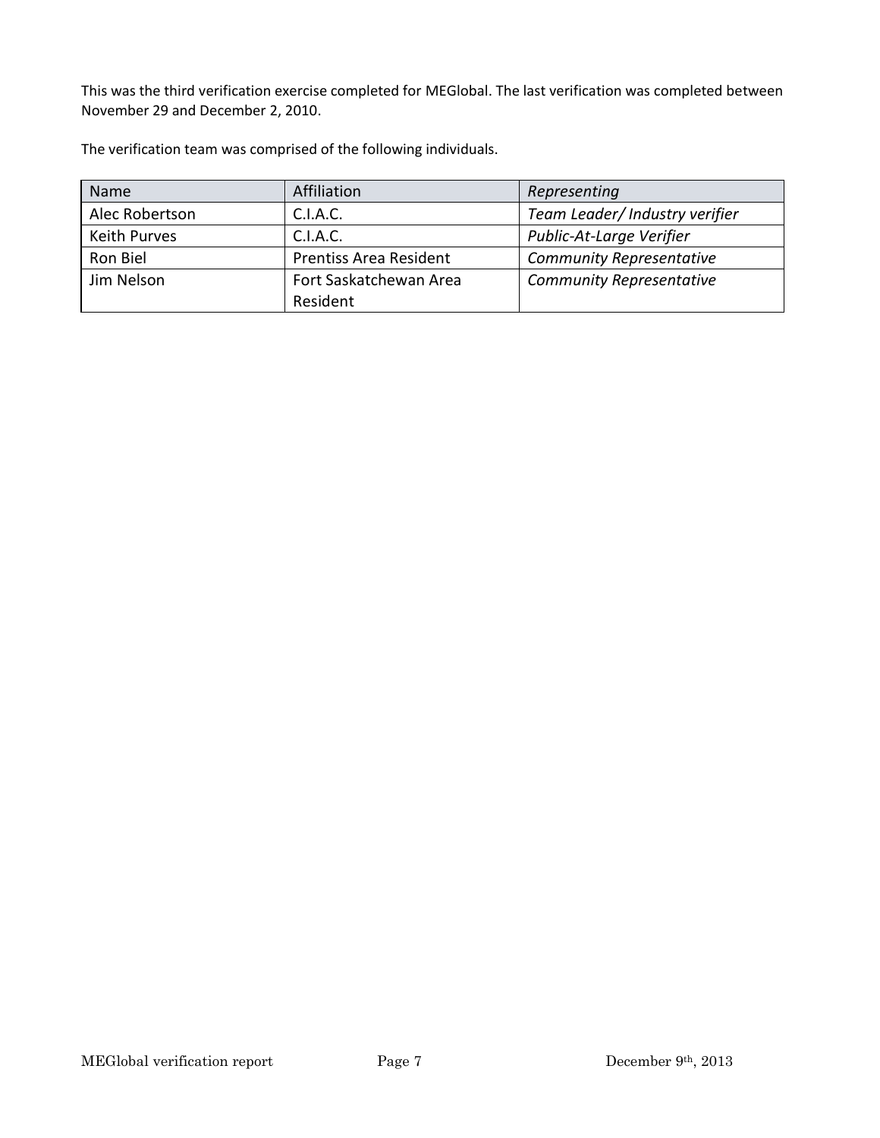This was the third verification exercise completed for MEGlobal. The last verification was completed between November 29 and December 2, 2010.

The verification team was comprised of the following individuals.

| <b>Name</b>         | Affiliation                   | Representing                    |
|---------------------|-------------------------------|---------------------------------|
| Alec Robertson      | C.I.A.C.                      | Team Leader/ Industry verifier  |
| <b>Keith Purves</b> | C.I.A.C.                      | Public-At-Large Verifier        |
| Ron Biel            | <b>Prentiss Area Resident</b> | <b>Community Representative</b> |
| Jim Nelson          | Fort Saskatchewan Area        | <b>Community Representative</b> |
|                     | Resident                      |                                 |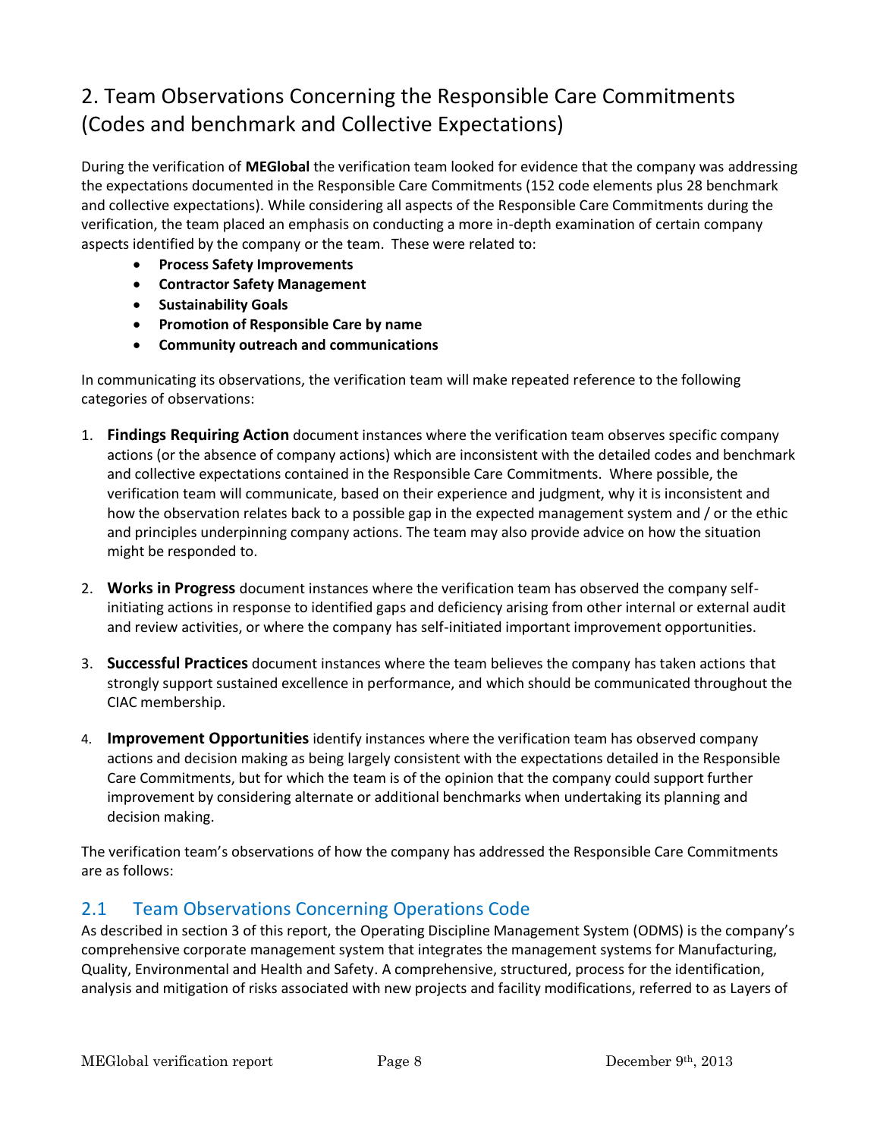## 2. Team Observations Concerning the Responsible Care Commitments (Codes and benchmark and Collective Expectations)

During the verification of **MEGlobal** the verification team looked for evidence that the company was addressing the expectations documented in the Responsible Care Commitments (152 code elements plus 28 benchmark and collective expectations). While considering all aspects of the Responsible Care Commitments during the verification, the team placed an emphasis on conducting a more in-depth examination of certain company aspects identified by the company or the team. These were related to:

- **Process Safety Improvements**
- **Contractor Safety Management**
- **Sustainability Goals**
- **Promotion of Responsible Care by name**
- **Community outreach and communications**

In communicating its observations, the verification team will make repeated reference to the following categories of observations:

- 1. **Findings Requiring Action** document instances where the verification team observes specific company actions (or the absence of company actions) which are inconsistent with the detailed codes and benchmark and collective expectations contained in the Responsible Care Commitments. Where possible, the verification team will communicate, based on their experience and judgment, why it is inconsistent and how the observation relates back to a possible gap in the expected management system and / or the ethic and principles underpinning company actions. The team may also provide advice on how the situation might be responded to.
- 2. **Works in Progress** document instances where the verification team has observed the company selfinitiating actions in response to identified gaps and deficiency arising from other internal or external audit and review activities, or where the company has self-initiated important improvement opportunities.
- 3. **Successful Practices** document instances where the team believes the company has taken actions that strongly support sustained excellence in performance, and which should be communicated throughout the CIAC membership.
- 4. **Improvement Opportunities** identify instances where the verification team has observed company actions and decision making as being largely consistent with the expectations detailed in the Responsible Care Commitments, but for which the team is of the opinion that the company could support further improvement by considering alternate or additional benchmarks when undertaking its planning and decision making.

The verification team's observations of how the company has addressed the Responsible Care Commitments are as follows:

## 2.1 Team Observations Concerning Operations Code

As described in section 3 of this report, the Operating Discipline Management System (ODMS) is the company's comprehensive corporate management system that integrates the management systems for Manufacturing, Quality, Environmental and Health and Safety. A comprehensive, structured, process for the identification, analysis and mitigation of risks associated with new projects and facility modifications, referred to as Layers of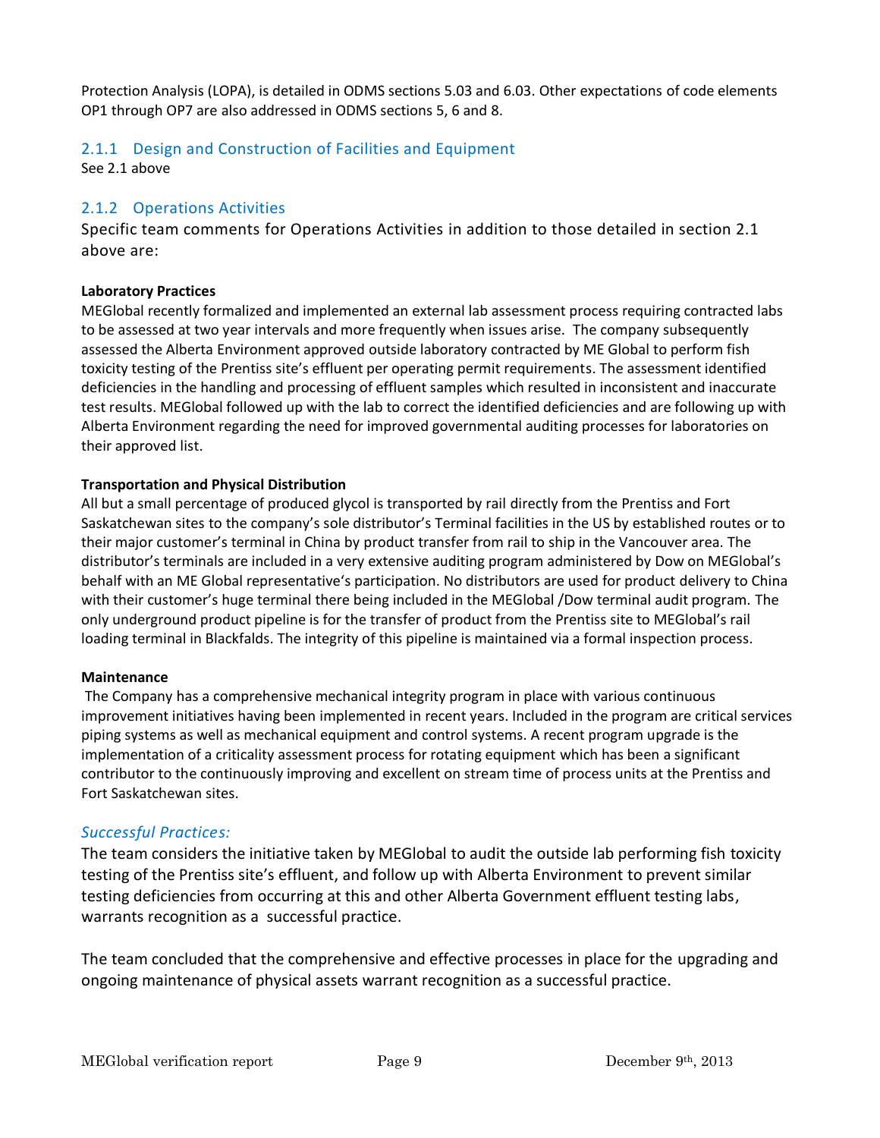Protection Analysis (LOPA), is detailed in ODMS sections 5.03 and 6.03. Other expectations of code elements OP1 through OP7 are also addressed in ODMS sections 5, 6 and 8.

#### 2.1.1 Design and Construction of Facilities and Equipment

See 2.1 above

#### 2.1.2 Operations Activities

Specific team comments for Operations Activities in addition to those detailed in section 2.1 above are:

#### **Laboratory Practices**

MEGlobal recently formalized and implemented an external lab assessment process requiring contracted labs to be assessed at two year intervals and more frequently when issues arise. The company subsequently assessed the Alberta Environment approved outside laboratory contracted by ME Global to perform fish toxicity testing of the Prentiss site's effluent per operating permit requirements. The assessment identified deficiencies in the handling and processing of effluent samples which resulted in inconsistent and inaccurate test results. MEGlobal followed up with the lab to correct the identified deficiencies and are following up with Alberta Environment regarding the need for improved governmental auditing processes for laboratories on their approved list.

#### **Transportation and Physical Distribution**

All but a small percentage of produced glycol is transported by rail directly from the Prentiss and Fort Saskatchewan sites to the company's sole distributor's Terminal facilities in the US by established routes or to their major customer's terminal in China by product transfer from rail to ship in the Vancouver area. The distributor's terminals are included in a very extensive auditing program administered by Dow on MEGlobal's behalf with an ME Global representative's participation. No distributors are used for product delivery to China with their customer's huge terminal there being included in the MEGlobal /Dow terminal audit program. The only underground product pipeline is for the transfer of product from the Prentiss site to MEGlobal's rail loading terminal in Blackfalds. The integrity of this pipeline is maintained via a formal inspection process.

#### **Maintenance**

The Company has a comprehensive mechanical integrity program in place with various continuous improvement initiatives having been implemented in recent years. Included in the program are critical services piping systems as well as mechanical equipment and control systems. A recent program upgrade is the implementation of a criticality assessment process for rotating equipment which has been a significant contributor to the continuously improving and excellent on stream time of process units at the Prentiss and Fort Saskatchewan sites.

#### *Successful Practices:*

The team considers the initiative taken by MEGlobal to audit the outside lab performing fish toxicity testing of the Prentiss site's effluent, and follow up with Alberta Environment to prevent similar testing deficiencies from occurring at this and other Alberta Government effluent testing labs, warrants recognition as a successful practice.

The team concluded that the comprehensive and effective processes in place for the upgrading and ongoing maintenance of physical assets warrant recognition as a successful practice.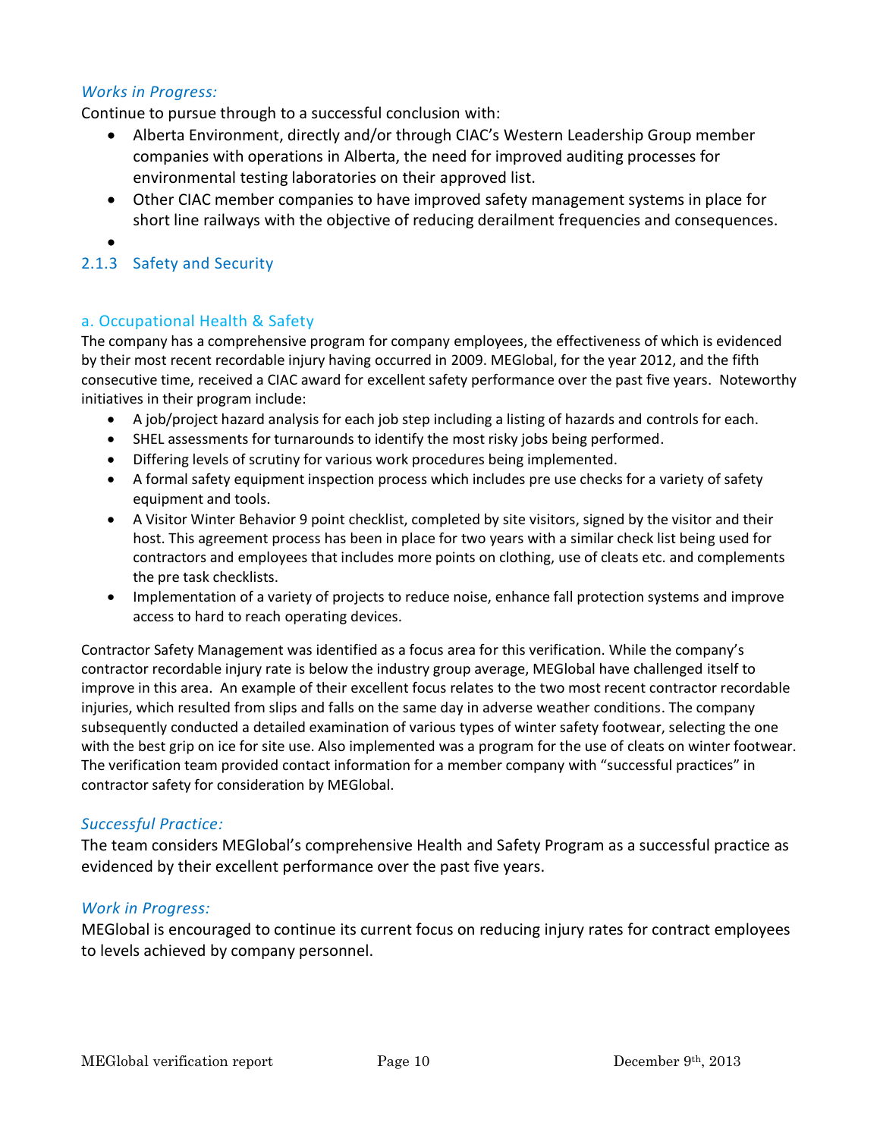#### *Works in Progress:*

Continue to pursue through to a successful conclusion with:

- Alberta Environment, directly and/or through CIAC's Western Leadership Group member companies with operations in Alberta, the need for improved auditing processes for environmental testing laboratories on their approved list.
- Other CIAC member companies to have improved safety management systems in place for short line railways with the objective of reducing derailment frequencies and consequences.
- •

#### 2.1.3 Safety and Security

#### a. Occupational Health & Safety

The company has a comprehensive program for company employees, the effectiveness of which is evidenced by their most recent recordable injury having occurred in 2009. MEGlobal, for the year 2012, and the fifth consecutive time, received a CIAC award for excellent safety performance over the past five years. Noteworthy initiatives in their program include:

- A job/project hazard analysis for each job step including a listing of hazards and controls for each.
- SHEL assessments for turnarounds to identify the most risky jobs being performed.
- Differing levels of scrutiny for various work procedures being implemented.
- A formal safety equipment inspection process which includes pre use checks for a variety of safety equipment and tools.
- A Visitor Winter Behavior 9 point checklist, completed by site visitors, signed by the visitor and their host. This agreement process has been in place for two years with a similar check list being used for contractors and employees that includes more points on clothing, use of cleats etc. and complements the pre task checklists.
- Implementation of a variety of projects to reduce noise, enhance fall protection systems and improve access to hard to reach operating devices.

Contractor Safety Management was identified as a focus area for this verification. While the company's contractor recordable injury rate is below the industry group average, MEGlobal have challenged itself to improve in this area. An example of their excellent focus relates to the two most recent contractor recordable injuries, which resulted from slips and falls on the same day in adverse weather conditions. The company subsequently conducted a detailed examination of various types of winter safety footwear, selecting the one with the best grip on ice for site use. Also implemented was a program for the use of cleats on winter footwear. The verification team provided contact information for a member company with "successful practices" in contractor safety for consideration by MEGlobal.

#### *Successful Practice:*

The team considers MEGlobal's comprehensive Health and Safety Program as a successful practice as evidenced by their excellent performance over the past five years.

#### *Work in Progress:*

MEGlobal is encouraged to continue its current focus on reducing injury rates for contract employees to levels achieved by company personnel.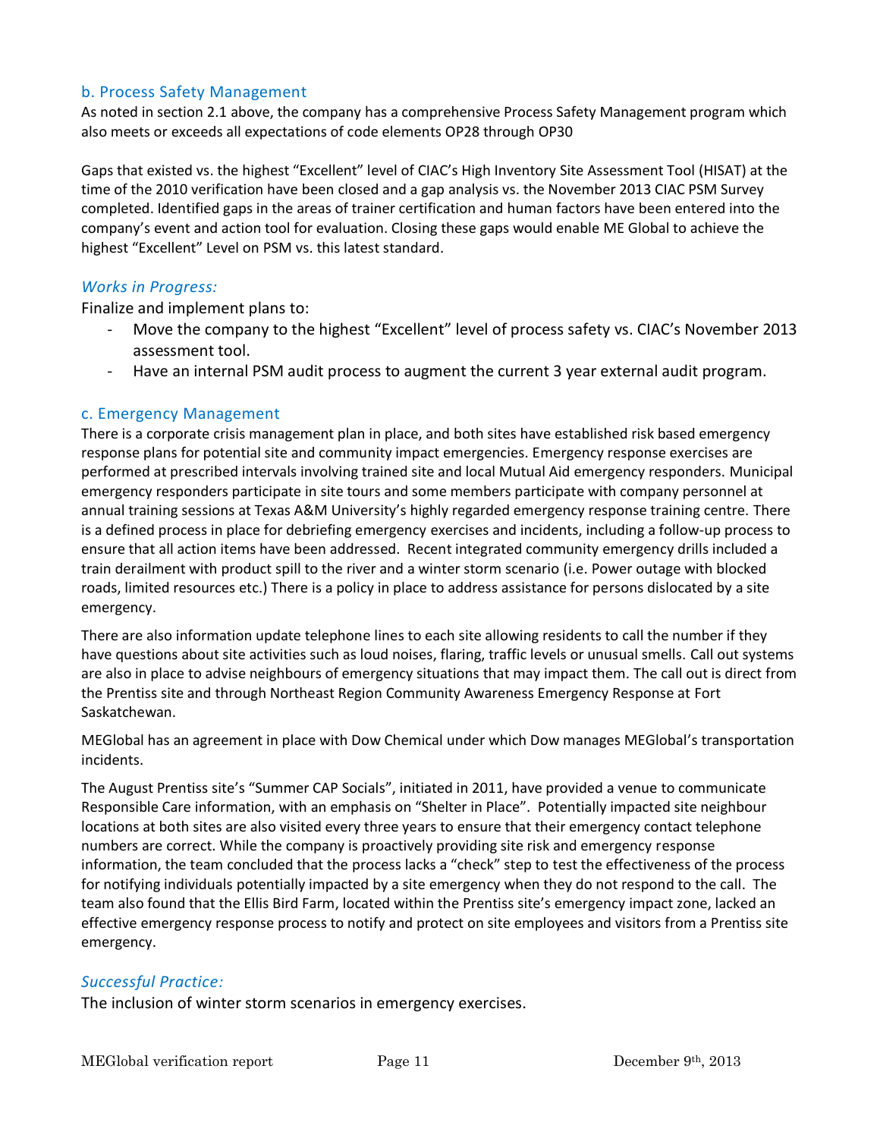#### b. Process Safety Management

As noted in section 2.1 above, the company has a comprehensive Process Safety Management program which also meets or exceeds all expectations of code elements OP28 through OP30

Gaps that existed vs. the highest "Excellent" level of CIAC's High Inventory Site Assessment Tool (HISAT) at the time of the 2010 verification have been closed and a gap analysis vs. the November 2013 CIAC PSM Survey completed. Identified gaps in the areas of trainer certification and human factors have been entered into the company's event and action tool for evaluation. Closing these gaps would enable ME Global to achieve the highest "Excellent" Level on PSM vs. this latest standard.

#### *Works in Progress:*

Finalize and implement plans to:

- Move the company to the highest "Excellent" level of process safety vs. CIAC's November 2013 assessment tool.
- Have an internal PSM audit process to augment the current 3 year external audit program.

#### c. Emergency Management

There is a corporate crisis management plan in place, and both sites have established risk based emergency response plans for potential site and community impact emergencies. Emergency response exercises are performed at prescribed intervals involving trained site and local Mutual Aid emergency responders. Municipal emergency responders participate in site tours and some members participate with company personnel at annual training sessions at Texas A&M University's highly regarded emergency response training centre. There is a defined process in place for debriefing emergency exercises and incidents, including a follow-up process to ensure that all action items have been addressed. Recent integrated community emergency drills included a train derailment with product spill to the river and a winter storm scenario (i.e. Power outage with blocked roads, limited resources etc.) There is a policy in place to address assistance for persons dislocated by a site emergency.

There are also information update telephone lines to each site allowing residents to call the number if they have questions about site activities such as loud noises, flaring, traffic levels or unusual smells. Call out systems are also in place to advise neighbours of emergency situations that may impact them. The call out is direct from the Prentiss site and through Northeast Region Community Awareness Emergency Response at Fort Saskatchewan.

MEGlobal has an agreement in place with Dow Chemical under which Dow manages MEGlobal's transportation incidents.

The August Prentiss site's "Summer CAP Socials", initiated in 2011, have provided a venue to communicate Responsible Care information, with an emphasis on "Shelter in Place". Potentially impacted site neighbour locations at both sites are also visited every three years to ensure that their emergency contact telephone numbers are correct. While the company is proactively providing site risk and emergency response information, the team concluded that the process lacks a "check" step to test the effectiveness of the process for notifying individuals potentially impacted by a site emergency when they do not respond to the call. The team also found that the Ellis Bird Farm, located within the Prentiss site's emergency impact zone, lacked an effective emergency response process to notify and protect on site employees and visitors from a Prentiss site emergency.

#### *Successful Practice:*

The inclusion of winter storm scenarios in emergency exercises.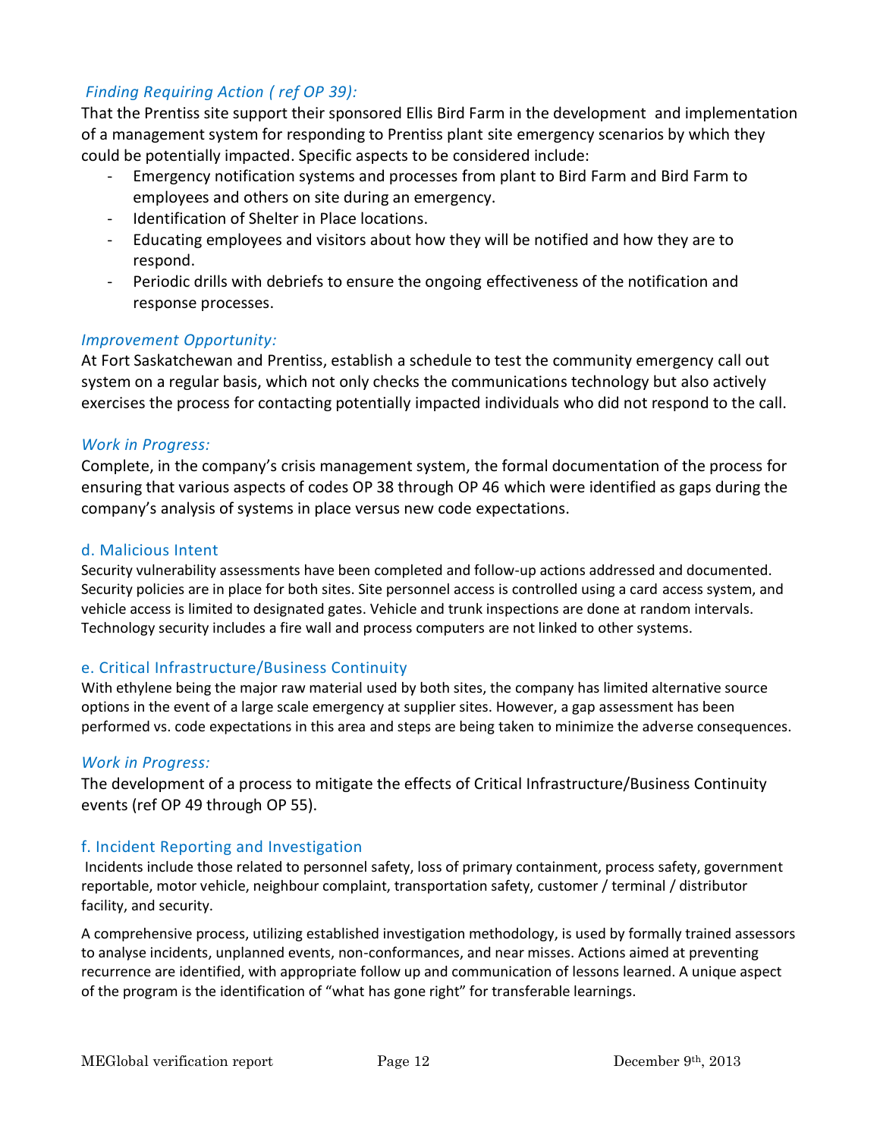#### *Finding Requiring Action ( ref OP 39):*

That the Prentiss site support their sponsored Ellis Bird Farm in the development and implementation of a management system for responding to Prentiss plant site emergency scenarios by which they could be potentially impacted. Specific aspects to be considered include:

- Emergency notification systems and processes from plant to Bird Farm and Bird Farm to employees and others on site during an emergency.
- Identification of Shelter in Place locations.
- Educating employees and visitors about how they will be notified and how they are to respond.
- Periodic drills with debriefs to ensure the ongoing effectiveness of the notification and response processes.

#### *Improvement Opportunity:*

At Fort Saskatchewan and Prentiss, establish a schedule to test the community emergency call out system on a regular basis, which not only checks the communications technology but also actively exercises the process for contacting potentially impacted individuals who did not respond to the call.

#### *Work in Progress:*

Complete, in the company's crisis management system, the formal documentation of the process for ensuring that various aspects of codes OP 38 through OP 46 which were identified as gaps during the company's analysis of systems in place versus new code expectations.

#### d. Malicious Intent

Security vulnerability assessments have been completed and follow-up actions addressed and documented. Security policies are in place for both sites. Site personnel access is controlled using a card access system, and vehicle access is limited to designated gates. Vehicle and trunk inspections are done at random intervals. Technology security includes a fire wall and process computers are not linked to other systems.

#### e. Critical Infrastructure/Business Continuity

With ethylene being the major raw material used by both sites, the company has limited alternative source options in the event of a large scale emergency at supplier sites. However, a gap assessment has been performed vs. code expectations in this area and steps are being taken to minimize the adverse consequences.

#### *Work in Progress:*

The development of a process to mitigate the effects of Critical Infrastructure/Business Continuity events (ref OP 49 through OP 55).

#### f. Incident Reporting and Investigation

Incidents include those related to personnel safety, loss of primary containment, process safety, government reportable, motor vehicle, neighbour complaint, transportation safety, customer / terminal / distributor facility, and security.

A comprehensive process, utilizing established investigation methodology, is used by formally trained assessors to analyse incidents, unplanned events, non-conformances, and near misses. Actions aimed at preventing recurrence are identified, with appropriate follow up and communication of lessons learned. A unique aspect of the program is the identification of "what has gone right" for transferable learnings.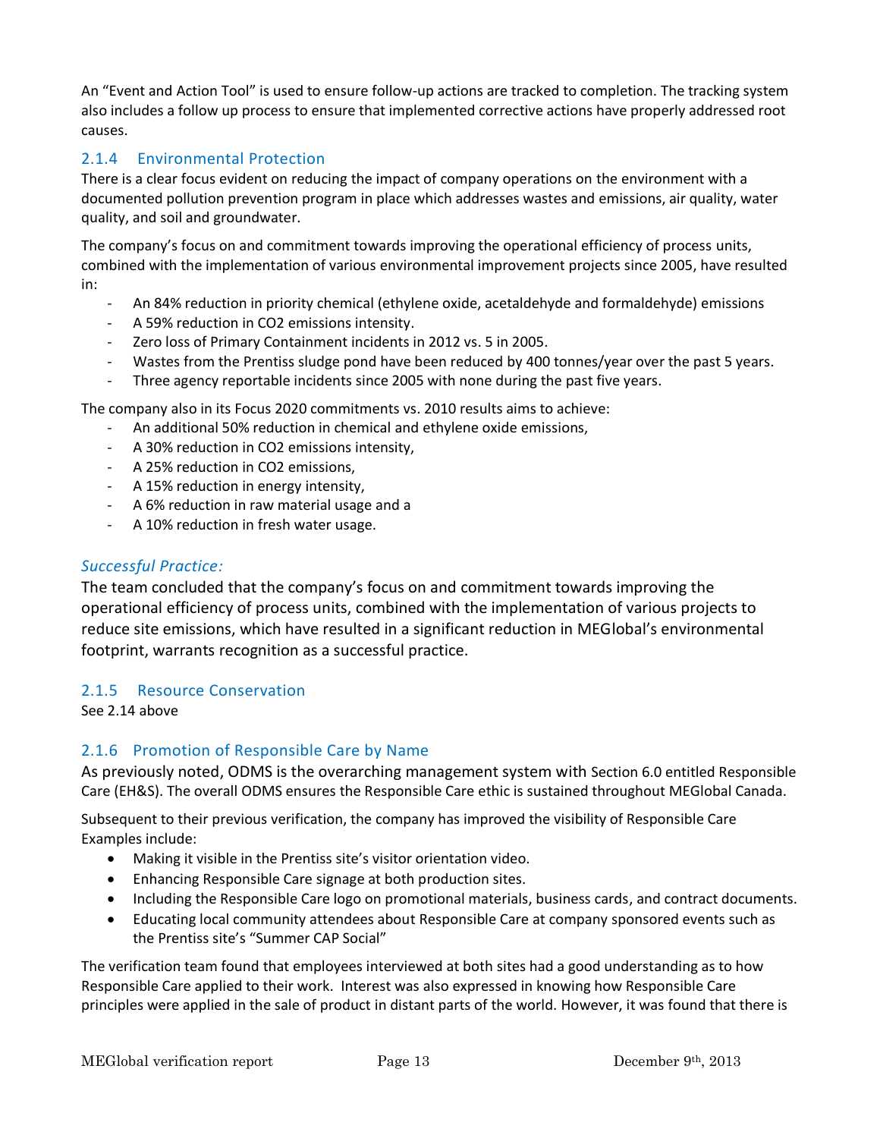An "Event and Action Tool" is used to ensure follow-up actions are tracked to completion. The tracking system also includes a follow up process to ensure that implemented corrective actions have properly addressed root causes.

#### 2.1.4 Environmental Protection

There is a clear focus evident on reducing the impact of company operations on the environment with a documented pollution prevention program in place which addresses wastes and emissions, air quality, water quality, and soil and groundwater.

The company's focus on and commitment towards improving the operational efficiency of process units, combined with the implementation of various environmental improvement projects since 2005, have resulted in:

- An 84% reduction in priority chemical (ethylene oxide, acetaldehyde and formaldehyde) emissions
- A 59% reduction in CO2 emissions intensity.
- Zero loss of Primary Containment incidents in 2012 vs. 5 in 2005.
- Wastes from the Prentiss sludge pond have been reduced by 400 tonnes/year over the past 5 years.
- Three agency reportable incidents since 2005 with none during the past five years.

The company also in its Focus 2020 commitments vs. 2010 results aims to achieve:

- An additional 50% reduction in chemical and ethylene oxide emissions,
- A 30% reduction in CO2 emissions intensity,
- A 25% reduction in CO2 emissions,
- A 15% reduction in energy intensity,
- A 6% reduction in raw material usage and a
- A 10% reduction in fresh water usage.

#### *Successful Practice:*

The team concluded that the company's focus on and commitment towards improving the operational efficiency of process units, combined with the implementation of various projects to reduce site emissions, which have resulted in a significant reduction in MEGlobal's environmental footprint, warrants recognition as a successful practice.

#### 2.1.5 Resource Conservation

See 2.14 above

#### 2.1.6 Promotion of Responsible Care by Name

As previously noted, ODMS is the overarching management system with Section 6.0 entitled Responsible Care (EH&S). The overall ODMS ensures the Responsible Care ethic is sustained throughout MEGlobal Canada.

Subsequent to their previous verification, the company has improved the visibility of Responsible Care Examples include:

- Making it visible in the Prentiss site's visitor orientation video.
- Enhancing Responsible Care signage at both production sites.
- Including the Responsible Care logo on promotional materials, business cards, and contract documents.
- Educating local community attendees about Responsible Care at company sponsored events such as the Prentiss site's "Summer CAP Social"

The verification team found that employees interviewed at both sites had a good understanding as to how Responsible Care applied to their work. Interest was also expressed in knowing how Responsible Care principles were applied in the sale of product in distant parts of the world. However, it was found that there is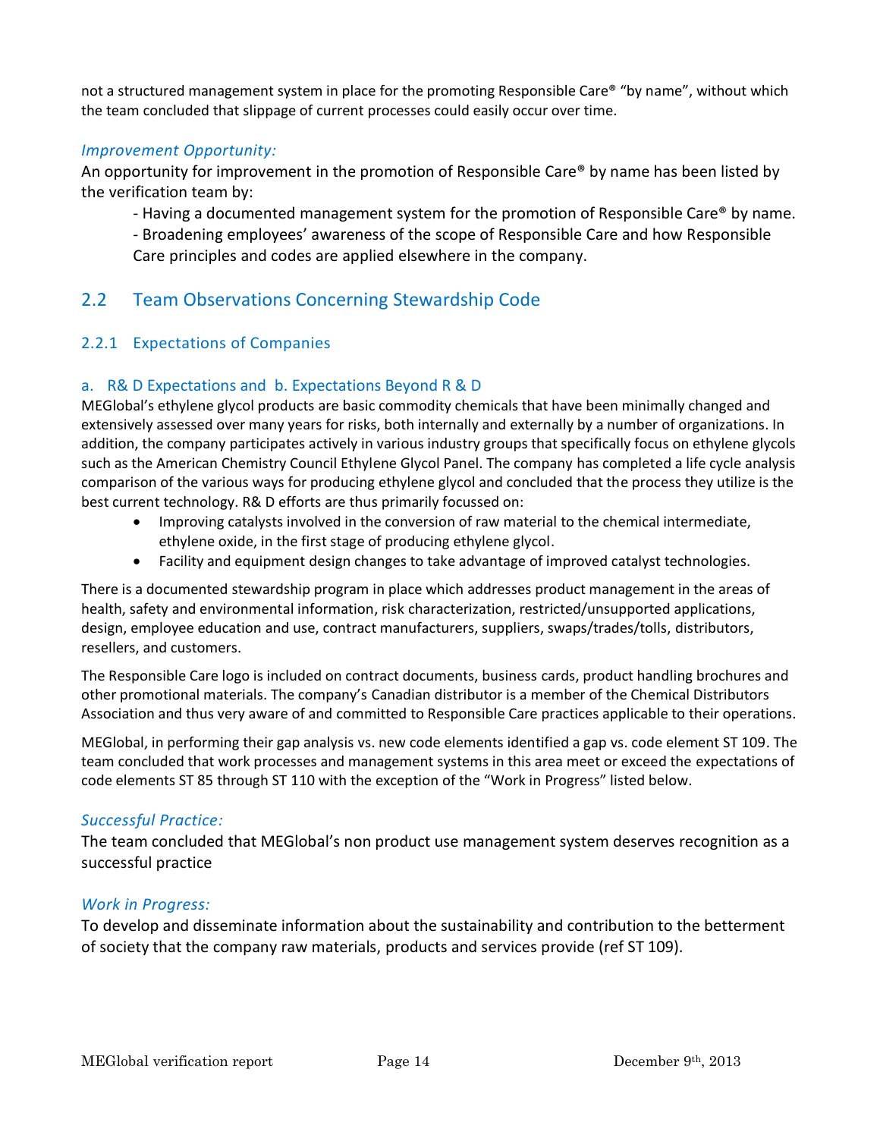not a structured management system in place for the promoting Responsible Care® "by name", without which the team concluded that slippage of current processes could easily occur over time.

#### *Improvement Opportunity:*

An opportunity for improvement in the promotion of Responsible Care® by name has been listed by the verification team by:

- Having a documented management system for the promotion of Responsible Care® by name.

- Broadening employees' awareness of the scope of Responsible Care and how Responsible Care principles and codes are applied elsewhere in the company.

## 2.2 Team Observations Concerning Stewardship Code

#### 2.2.1 Expectations of Companies

#### a. R& D Expectations and b. Expectations Beyond R & D

MEGlobal's ethylene glycol products are basic commodity chemicals that have been minimally changed and extensively assessed over many years for risks, both internally and externally by a number of organizations. In addition, the company participates actively in various industry groups that specifically focus on ethylene glycols such as the American Chemistry Council Ethylene Glycol Panel. The company has completed a life cycle analysis comparison of the various ways for producing ethylene glycol and concluded that the process they utilize is the best current technology. R& D efforts are thus primarily focussed on:

- Improving catalysts involved in the conversion of raw material to the chemical intermediate, ethylene oxide, in the first stage of producing ethylene glycol.
- Facility and equipment design changes to take advantage of improved catalyst technologies.

There is a documented stewardship program in place which addresses product management in the areas of health, safety and environmental information, risk characterization, restricted/unsupported applications, design, employee education and use, contract manufacturers, suppliers, swaps/trades/tolls, distributors, resellers, and customers.

The Responsible Care logo is included on contract documents, business cards, product handling brochures and other promotional materials. The company's Canadian distributor is a member of the Chemical Distributors Association and thus very aware of and committed to Responsible Care practices applicable to their operations.

MEGlobal, in performing their gap analysis vs. new code elements identified a gap vs. code element ST 109. The team concluded that work processes and management systems in this area meet or exceed the expectations of code elements ST 85 through ST 110 with the exception of the "Work in Progress" listed below.

#### *Successful Practice:*

The team concluded that MEGlobal's non product use management system deserves recognition as a successful practice

#### *Work in Progress:*

To develop and disseminate information about the sustainability and contribution to the betterment of society that the company raw materials, products and services provide (ref ST 109).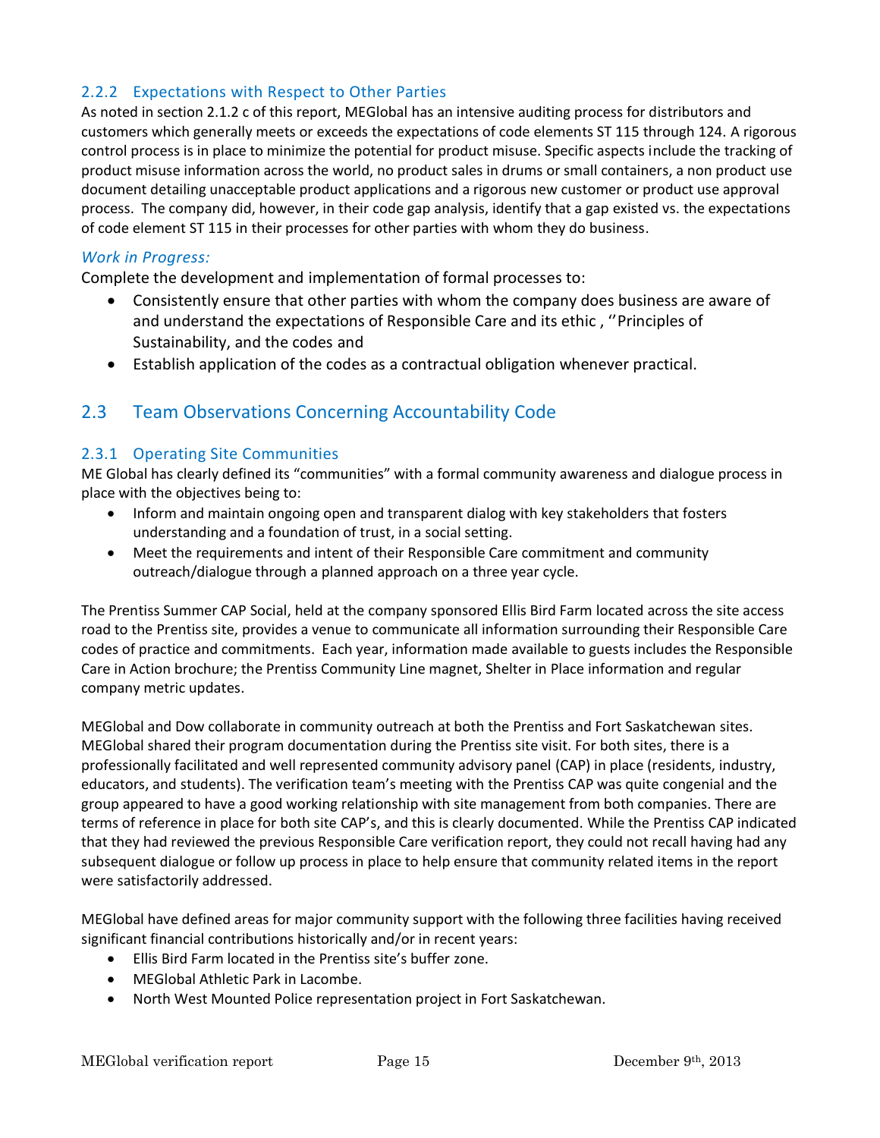#### 2.2.2 Expectations with Respect to Other Parties

As noted in section 2.1.2 c of this report, MEGlobal has an intensive auditing process for distributors and customers which generally meets or exceeds the expectations of code elements ST 115 through 124. A rigorous control process is in place to minimize the potential for product misuse. Specific aspects include the tracking of product misuse information across the world, no product sales in drums or small containers, a non product use document detailing unacceptable product applications and a rigorous new customer or product use approval process. The company did, however, in their code gap analysis, identify that a gap existed vs. the expectations of code element ST 115 in their processes for other parties with whom they do business.

#### *Work in Progress:*

Complete the development and implementation of formal processes to:

- Consistently ensure that other parties with whom the company does business are aware of and understand the expectations of Responsible Care and its ethic , ''Principles of Sustainability, and the codes and
- Establish application of the codes as a contractual obligation whenever practical.

## 2.3 Team Observations Concerning Accountability Code

#### 2.3.1 Operating Site Communities

ME Global has clearly defined its "communities" with a formal community awareness and dialogue process in place with the objectives being to:

- Inform and maintain ongoing open and transparent dialog with key stakeholders that fosters understanding and a foundation of trust, in a social setting.
- Meet the requirements and intent of their Responsible Care commitment and community outreach/dialogue through a planned approach on a three year cycle.

The Prentiss Summer CAP Social, held at the company sponsored Ellis Bird Farm located across the site access road to the Prentiss site, provides a venue to communicate all information surrounding their Responsible Care codes of practice and commitments. Each year, information made available to guests includes the Responsible Care in Action brochure; the Prentiss Community Line magnet, Shelter in Place information and regular company metric updates.

MEGlobal and Dow collaborate in community outreach at both the Prentiss and Fort Saskatchewan sites. MEGlobal shared their program documentation during the Prentiss site visit. For both sites, there is a professionally facilitated and well represented community advisory panel (CAP) in place (residents, industry, educators, and students). The verification team's meeting with the Prentiss CAP was quite congenial and the group appeared to have a good working relationship with site management from both companies. There are terms of reference in place for both site CAP's, and this is clearly documented. While the Prentiss CAP indicated that they had reviewed the previous Responsible Care verification report, they could not recall having had any subsequent dialogue or follow up process in place to help ensure that community related items in the report were satisfactorily addressed.

MEGlobal have defined areas for major community support with the following three facilities having received significant financial contributions historically and/or in recent years:

- Ellis Bird Farm located in the Prentiss site's buffer zone.
- MEGlobal Athletic Park in Lacombe.
- North West Mounted Police representation project in Fort Saskatchewan.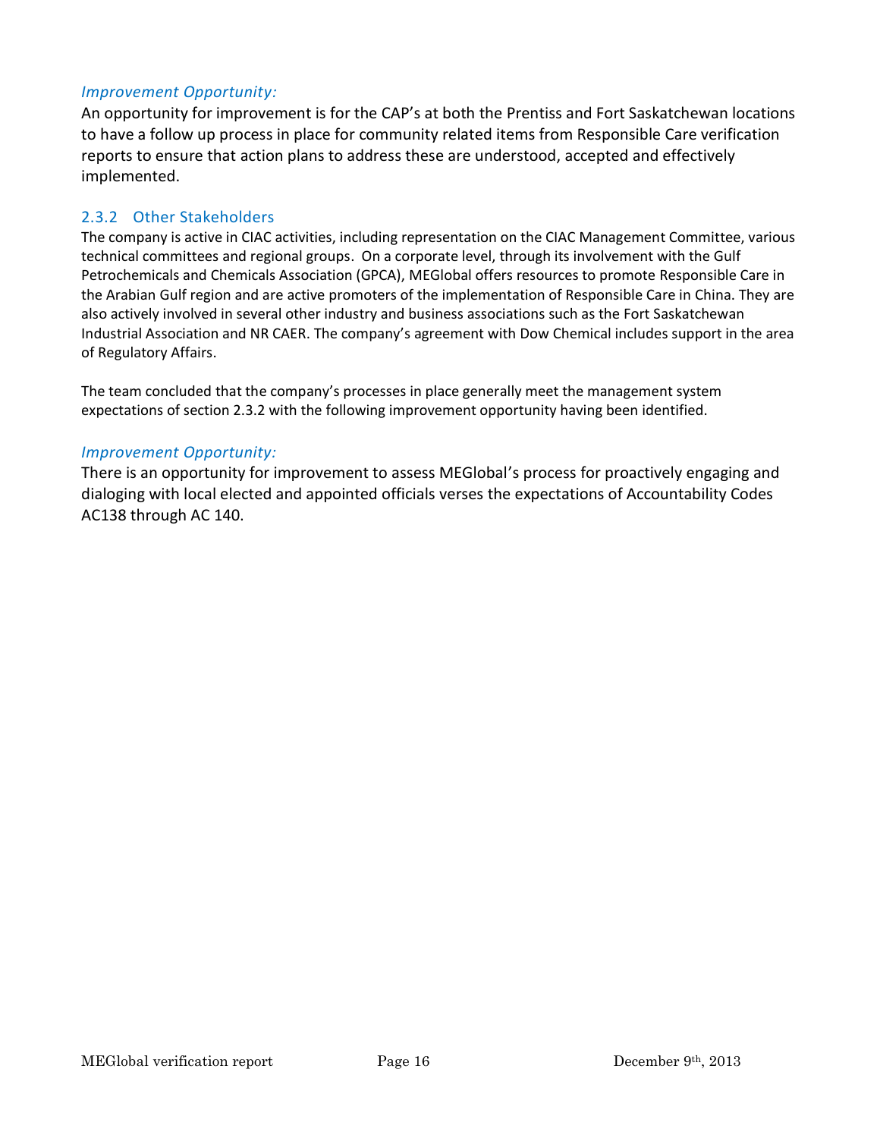#### *Improvement Opportunity:*

An opportunity for improvement is for the CAP's at both the Prentiss and Fort Saskatchewan locations to have a follow up process in place for community related items from Responsible Care verification reports to ensure that action plans to address these are understood, accepted and effectively implemented.

#### 2.3.2 Other Stakeholders

The company is active in CIAC activities, including representation on the CIAC Management Committee, various technical committees and regional groups. On a corporate level, through its involvement with the Gulf Petrochemicals and Chemicals Association (GPCA), MEGlobal offers resources to promote Responsible Care in the Arabian Gulf region and are active promoters of the implementation of Responsible Care in China. They are also actively involved in several other industry and business associations such as the Fort Saskatchewan Industrial Association and NR CAER. The company's agreement with Dow Chemical includes support in the area of Regulatory Affairs.

The team concluded that the company's processes in place generally meet the management system expectations of section 2.3.2 with the following improvement opportunity having been identified.

#### *Improvement Opportunity:*

There is an opportunity for improvement to assess MEGlobal's process for proactively engaging and dialoging with local elected and appointed officials verses the expectations of Accountability Codes AC138 through AC 140.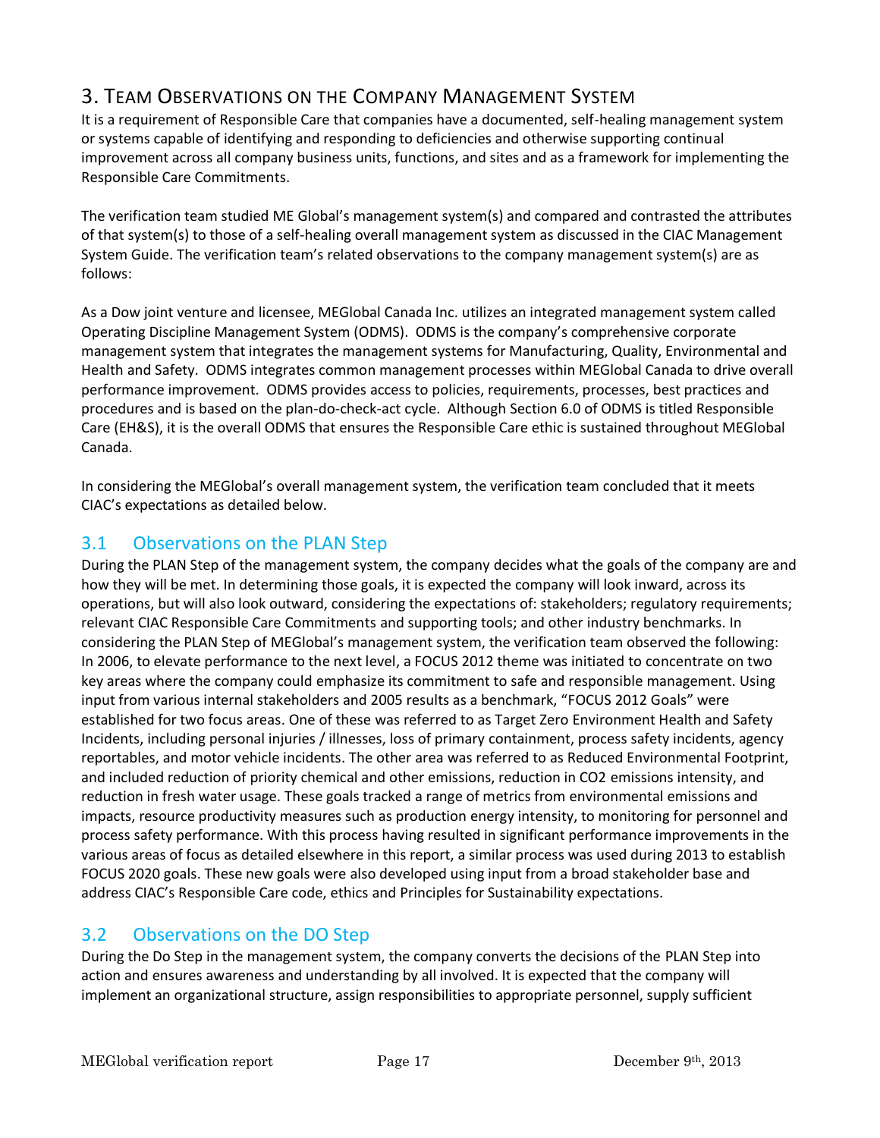## 3. TEAM OBSERVATIONS ON THE COMPANY MANAGEMENT SYSTEM

It is a requirement of Responsible Care that companies have a documented, self-healing management system or systems capable of identifying and responding to deficiencies and otherwise supporting continual improvement across all company business units, functions, and sites and as a framework for implementing the Responsible Care Commitments.

The verification team studied ME Global's management system(s) and compared and contrasted the attributes of that system(s) to those of a self-healing overall management system as discussed in the CIAC Management System Guide. The verification team's related observations to the company management system(s) are as follows:

As a Dow joint venture and licensee, MEGlobal Canada Inc. utilizes an integrated management system called Operating Discipline Management System (ODMS). ODMS is the company's comprehensive corporate management system that integrates the management systems for Manufacturing, Quality, Environmental and Health and Safety. ODMS integrates common management processes within MEGlobal Canada to drive overall performance improvement. ODMS provides access to policies, requirements, processes, best practices and procedures and is based on the plan-do-check-act cycle. Although Section 6.0 of ODMS is titled Responsible Care (EH&S), it is the overall ODMS that ensures the Responsible Care ethic is sustained throughout MEGlobal Canada.

In considering the MEGlobal's overall management system, the verification team concluded that it meets CIAC's expectations as detailed below.

## 3.1 Observations on the PLAN Step

During the PLAN Step of the management system, the company decides what the goals of the company are and how they will be met. In determining those goals, it is expected the company will look inward, across its operations, but will also look outward, considering the expectations of: stakeholders; regulatory requirements; relevant CIAC Responsible Care Commitments and supporting tools; and other industry benchmarks. In considering the PLAN Step of MEGlobal's management system, the verification team observed the following: In 2006, to elevate performance to the next level, a FOCUS 2012 theme was initiated to concentrate on two key areas where the company could emphasize its commitment to safe and responsible management. Using input from various internal stakeholders and 2005 results as a benchmark, "FOCUS 2012 Goals" were established for two focus areas. One of these was referred to as Target Zero Environment Health and Safety Incidents, including personal injuries / illnesses, loss of primary containment, process safety incidents, agency reportables, and motor vehicle incidents. The other area was referred to as Reduced Environmental Footprint, and included reduction of priority chemical and other emissions, reduction in CO2 emissions intensity, and reduction in fresh water usage. These goals tracked a range of metrics from environmental emissions and impacts, resource productivity measures such as production energy intensity, to monitoring for personnel and process safety performance. With this process having resulted in significant performance improvements in the various areas of focus as detailed elsewhere in this report, a similar process was used during 2013 to establish FOCUS 2020 goals. These new goals were also developed using input from a broad stakeholder base and address CIAC's Responsible Care code, ethics and Principles for Sustainability expectations.

## 3.2 Observations on the DO Step

During the Do Step in the management system, the company converts the decisions of the PLAN Step into action and ensures awareness and understanding by all involved. It is expected that the company will implement an organizational structure, assign responsibilities to appropriate personnel, supply sufficient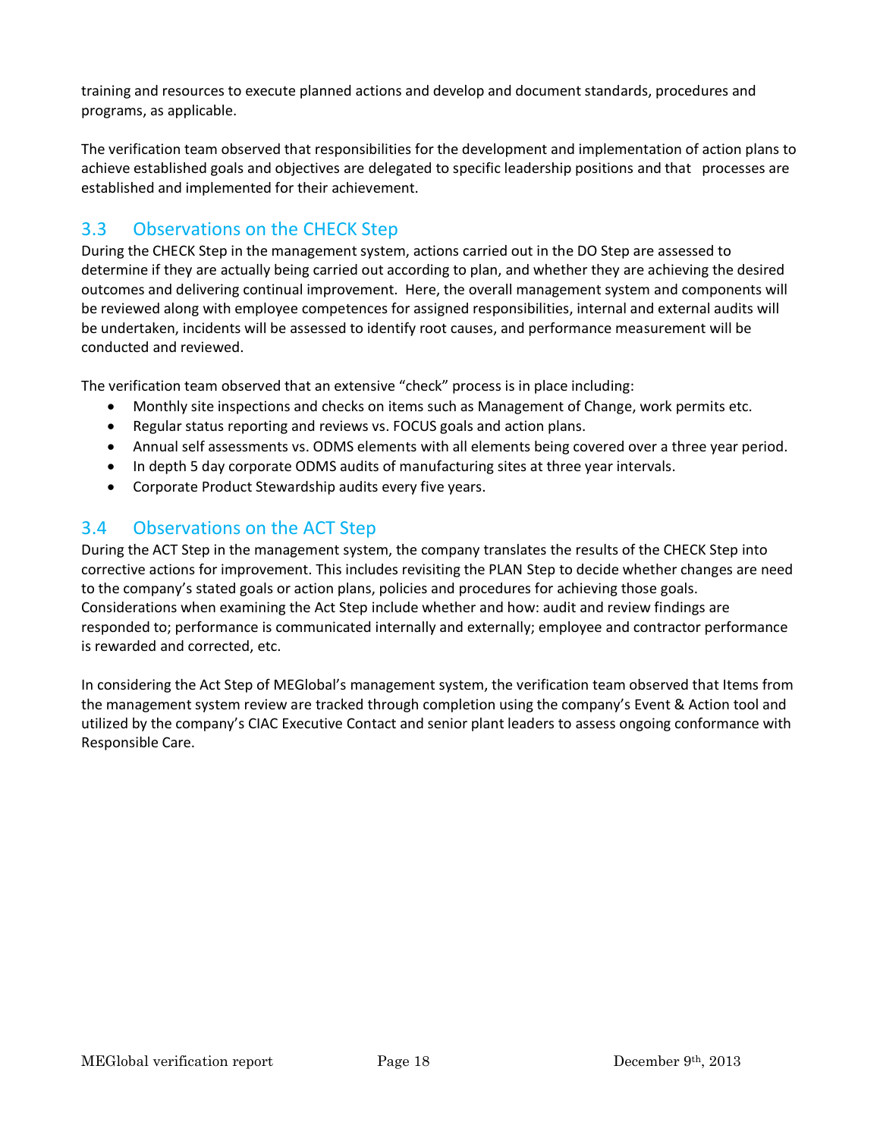training and resources to execute planned actions and develop and document standards, procedures and programs, as applicable.

The verification team observed that responsibilities for the development and implementation of action plans to achieve established goals and objectives are delegated to specific leadership positions and that processes are established and implemented for their achievement.

## 3.3 Observations on the CHECK Step

During the CHECK Step in the management system, actions carried out in the DO Step are assessed to determine if they are actually being carried out according to plan, and whether they are achieving the desired outcomes and delivering continual improvement. Here, the overall management system and components will be reviewed along with employee competences for assigned responsibilities, internal and external audits will be undertaken, incidents will be assessed to identify root causes, and performance measurement will be conducted and reviewed.

The verification team observed that an extensive "check" process is in place including:

- Monthly site inspections and checks on items such as Management of Change, work permits etc.
- Regular status reporting and reviews vs. FOCUS goals and action plans.
- Annual self assessments vs. ODMS elements with all elements being covered over a three year period.
- In depth 5 day corporate ODMS audits of manufacturing sites at three year intervals.
- Corporate Product Stewardship audits every five years.

## 3.4 Observations on the ACT Step

During the ACT Step in the management system, the company translates the results of the CHECK Step into corrective actions for improvement. This includes revisiting the PLAN Step to decide whether changes are need to the company's stated goals or action plans, policies and procedures for achieving those goals. Considerations when examining the Act Step include whether and how: audit and review findings are responded to; performance is communicated internally and externally; employee and contractor performance is rewarded and corrected, etc.

In considering the Act Step of MEGlobal's management system, the verification team observed that Items from the management system review are tracked through completion using the company's Event & Action tool and utilized by the company's CIAC Executive Contact and senior plant leaders to assess ongoing conformance with Responsible Care.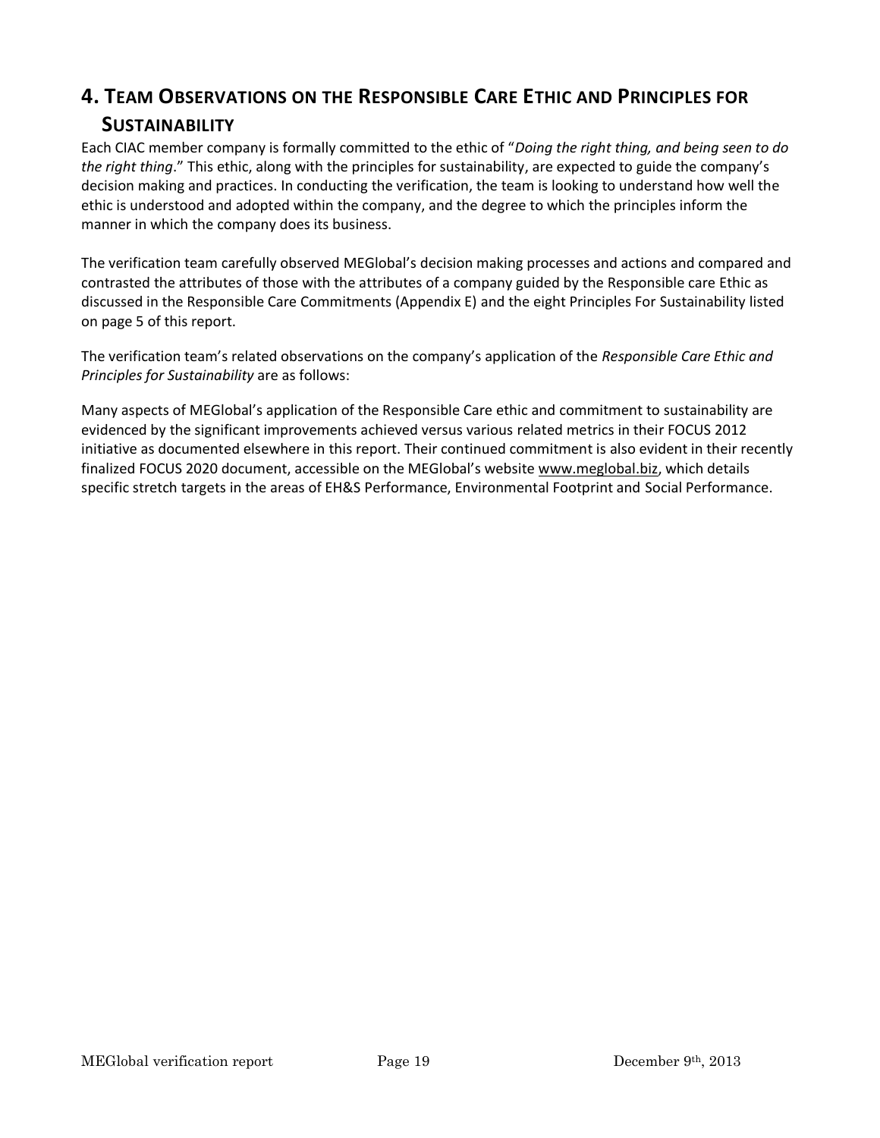## **4. TEAM OBSERVATIONS ON THE RESPONSIBLE CARE ETHIC AND PRINCIPLES FOR SUSTAINABILITY**

Each CIAC member company is formally committed to the ethic of "*Doing the right thing, and being seen to do the right thing*." This ethic, along with the principles for sustainability, are expected to guide the company's decision making and practices. In conducting the verification, the team is looking to understand how well the ethic is understood and adopted within the company, and the degree to which the principles inform the manner in which the company does its business.

The verification team carefully observed MEGlobal's decision making processes and actions and compared and contrasted the attributes of those with the attributes of a company guided by the Responsible care Ethic as discussed in the Responsible Care Commitments (Appendix E) and the eight Principles For Sustainability listed on page 5 of this report.

The verification team's related observations on the company's application of the *Responsible Care Ethic and Principles for Sustainability* are as follows:

Many aspects of MEGlobal's application of the Responsible Care ethic and commitment to sustainability are evidenced by the significant improvements achieved versus various related metrics in their FOCUS 2012 initiative as documented elsewhere in this report. Their continued commitment is also evident in their recently finalized FOCUS 2020 document, accessible on the MEGlobal's website [www.meglobal.biz,](http://www.meglobal.biz/) which details specific stretch targets in the areas of EH&S Performance, Environmental Footprint and Social Performance.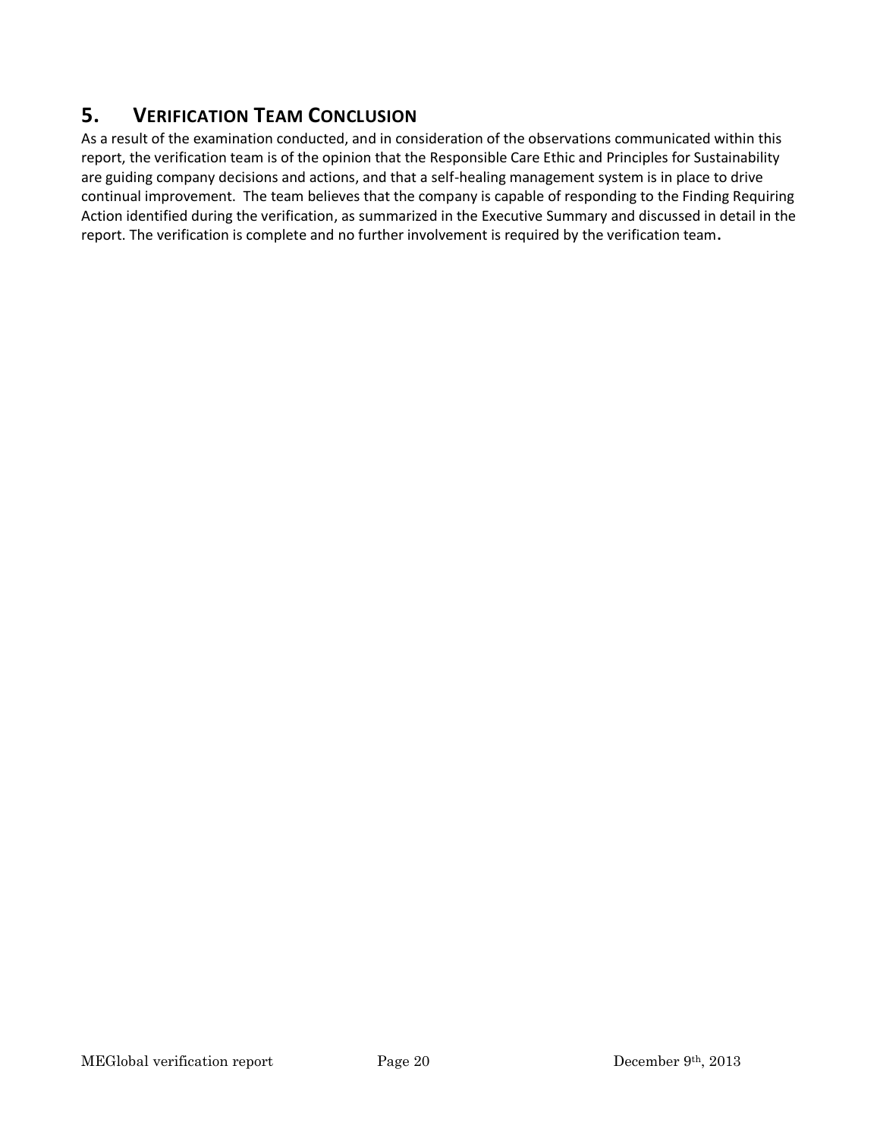## **5. VERIFICATION TEAM CONCLUSION**

As a result of the examination conducted, and in consideration of the observations communicated within this report, the verification team is of the opinion that the Responsible Care Ethic and Principles for Sustainability are guiding company decisions and actions, and that a self-healing management system is in place to drive continual improvement. The team believes that the company is capable of responding to the Finding Requiring Action identified during the verification, as summarized in the Executive Summary and discussed in detail in the report. The verification is complete and no further involvement is required by the verification team**.**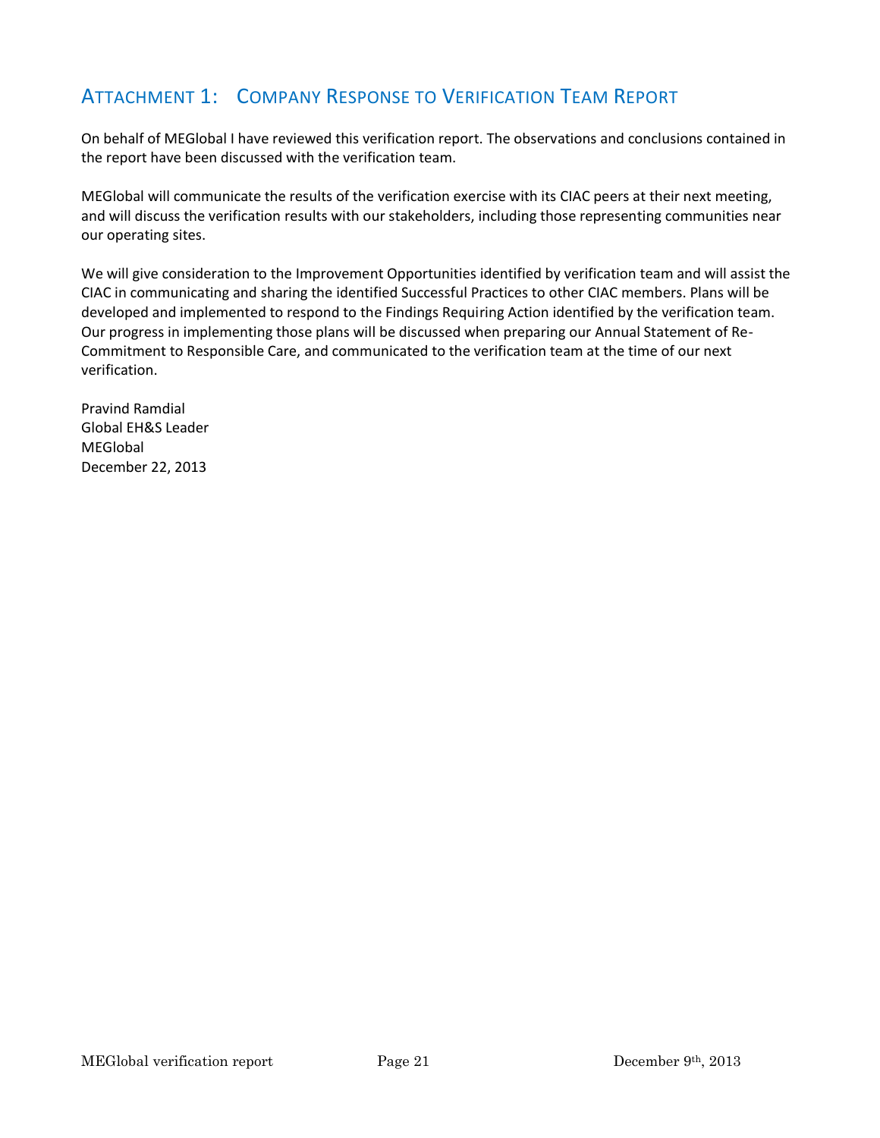## ATTACHMENT 1: COMPANY RESPONSE TO VERIFICATION TEAM REPORT

On behalf of MEGlobal I have reviewed this verification report. The observations and conclusions contained in the report have been discussed with the verification team.

MEGlobal will communicate the results of the verification exercise with its CIAC peers at their next meeting, and will discuss the verification results with our stakeholders, including those representing communities near our operating sites.

We will give consideration to the Improvement Opportunities identified by verification team and will assist the CIAC in communicating and sharing the identified Successful Practices to other CIAC members. Plans will be developed and implemented to respond to the Findings Requiring Action identified by the verification team. Our progress in implementing those plans will be discussed when preparing our Annual Statement of Re-Commitment to Responsible Care, and communicated to the verification team at the time of our next verification.

Pravind Ramdial Global EH&S Leader **MEGlobal** December 22, 2013